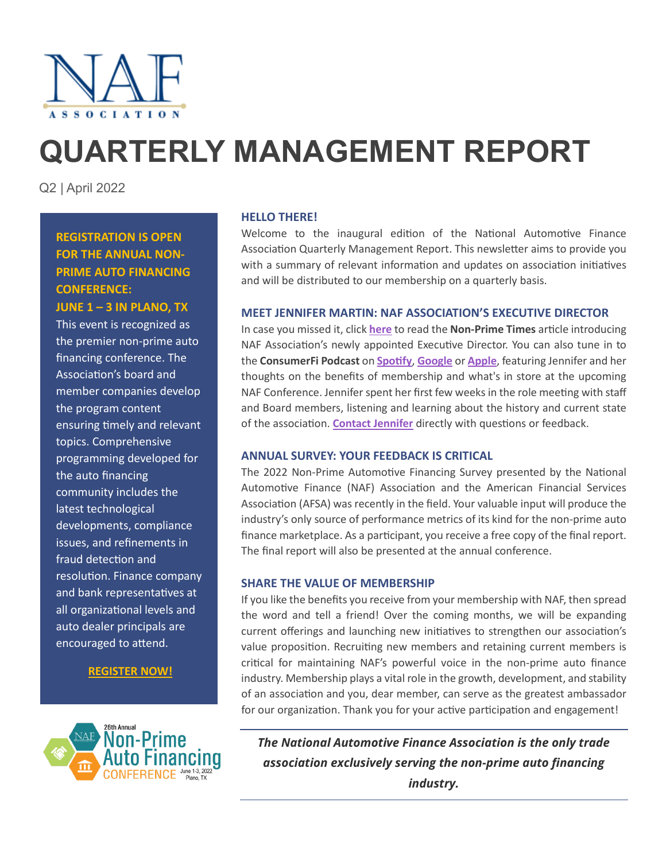

# **QUARTERLY MANAGEMENT REPORT**

Q2 | April 2022

# **REGISTRATION IS OPEN FOR THE ANNUAL NON-PRIME AUTO FINANCING CONFERENCE:**

# **JUNE 1 – 3 IN PLANO, TX**

This event is recognized as the premier non-prime auto financing conference. The Association's board and member companies develop the program content ensuring timely and relevant topics. Comprehensive programming developed for the auto financing community includes the latest technological developments, compliance issues, and refinements in fraud detection and resolution. Finance company and bank representatives at all organizational levels and auto dealer principals are encouraged to attend.

**[REGISTER NOW!](https://web.cvent.com/event/4317f962-26f3-45b5-8cfa-e092f5449340/summary)**



#### **HELLO THERE!**

Welcome to the inaugural edition of the National Automotive Finance Association Quarterly Management Report. This newsletter aims to provide you with a summary of relevant information and updates on association initiatives and will be distributed to our membership on a quarterly basis.

#### **MEET JENNIFER MARTIN: NAF ASSOCIATION'S EXECUTIVE DIRECTOR**

In case you missed it, click **[here](https://nonprimetimes.com/meet-jennifer-martin-naf-associations-new-executive-director/)** to read the **Non-Prime Times** ar�cle introducing NAF Association's newly appointed Executive Director. You can also tune in to the **ConsumerFi Podcast** on **[Spo�fy](https://lnkd.in/emfzf4ip)**, **[Google](https://lnkd.in/eJGbC9Wn)** or **[Apple](https://lnkd.in/eAWGF28W)**, featuring Jennifer and her thoughts on the benefits of membership and what's in store at the upcoming NAF Conference. Jennifer spent her first few weeks in the role meeting with staff and Board members, listening and learning about the history and current state of the association. **[Contact Jennifer](mailto:jennifer.martin@nafassociation.com)** directly with questions or feedback.

# **ANNUAL SURVEY: YOUR FEEDBACK IS CRITICAL**

The 2022 Non-Prime Automotive Financing Survey presented by the National Automotive Finance (NAF) Association and the American Financial Services Association (AFSA) was recently in the field. Your valuable input will produce the industry's only source of performance metrics of its kind for the non-prime auto finance marketplace. As a participant, you receive a free copy of the final report. The final report will also be presented at the annual conference.

# **SHARE THE VALUE OF MEMBERSHIP**

If you like the benefits you receive from your membership with NAF, then spread the word and tell a friend! Over the coming months, we will be expanding current offerings and launching new initiatives to strengthen our association's value proposition. Recruiting new members and retaining current members is critical for maintaining NAF's powerful voice in the non-prime auto finance industry. Membership plays a vital role in the growth, development, and stability of an association and you, dear member, can serve as the greatest ambassador for our organization. Thank you for your active participation and engagement!

*The National Automotive Finance Association is the only trade association exclusively serving the non-prime auto financing industry.*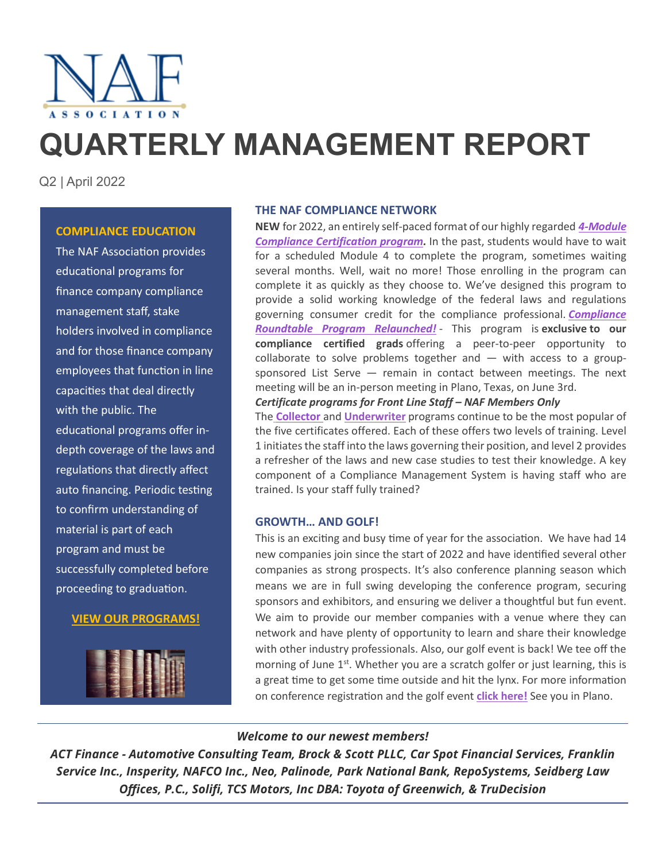

# **QUARTERLY MANAGEMENT REPORT**

Q2 | April 2022

#### **COMPLIANCE EDUCATION**

The NAF Association provides educational programs for finance company compliance management staff, stake holders involved in compliance and for those finance company employees that function in line capaci�es that deal directly with the public. The educational programs offer indepth coverage of the laws and regulations that directly affect auto financing. Periodic testing to confirm understanding of material is part of each program and must be successfully completed before proceeding to graduation.

# **[VIEW OUR PROGRAMS!](https://www.nafassociation.com/)**



#### **THE NAF COMPLIANCE NETWORK**

**NEW** for 2022, an entirely self-paced format of our highly regarded *[4-Module](https://www.nafassociation.com/consumer-credit-compliance-certification-program/#top)  [Compliance Certification program.](https://www.nafassociation.com/consumer-credit-compliance-certification-program/#top)* In the past, students would have to wait for a scheduled Module 4 to complete the program, sometimes waiting several months. Well, wait no more! Those enrolling in the program can complete it as quickly as they choose to. We've designed this program to provide a solid working knowledge of the federal laws and regulations governing consumer credit for the compliance professional. *[Compliance](https://www.nafassociation.com/qcr.php)  [Roundtable Program Relaunched!](https://www.nafassociation.com/qcr.php)* - This program is **exclusive to our compliance certified grads** offering a peer-to-peer opportunity to collaborate to solve problems together and  $-$  with access to a groupsponsored List Serve — remain in contact between meetings. The next meeting will be an in-person meeting in Plano, Texas, on June 3rd.

#### *Certificate programs for Front Line Staff – NAF Members Only*

The **[Collector](https://www.nafassociation.com/naf-compliance-collector-program/)** and **[Underwriter](https://www.nafassociation.com/underwriter-phase-1-2/)** programs continue to be the most popular of the five certificates offered. Each of these offers two levels of training. Level 1 initiates the staff into the laws governing their position, and level 2 provides a refresher of the laws and new case studies to test their knowledge. A key component of a Compliance Management System is having staff who are trained. Is your staff fully trained?

# **GROWTH… AND GOLF!**

This is an exciting and busy time of year for the association. We have had 14 new companies join since the start of 2022 and have iden�fied several other companies as strong prospects. It's also conference planning season which means we are in full swing developing the conference program, securing sponsors and exhibitors, and ensuring we deliver a thoughtful but fun event. We aim to provide our member companies with a venue where they can network and have plenty of opportunity to learn and share their knowledge with other industry professionals. Also, our golf event is back! We tee off the morning of June  $1<sup>st</sup>$ . Whether you are a scratch golfer or just learning, this is a great time to get some time outside and hit the lynx. For more information on conference registration and the golf event **[click here!](https://web.cvent.com/event/4317f962-26f3-45b5-8cfa-e092f5449340/summary)** See you in Plano.

# *Welcome to our newest members!*

*ACT Finance - Automotive Consulting Team, Brock & Scott PLLC, Car Spot Financial Services, Franklin Service Inc., Insperity, NAFCO Inc., Neo, Palinode, Park National Bank, RepoSystems, Seidberg Law Offices, P.C., Solifi, TCS Motors, Inc DBA: Toyota of Greenwich, & TruDecision*